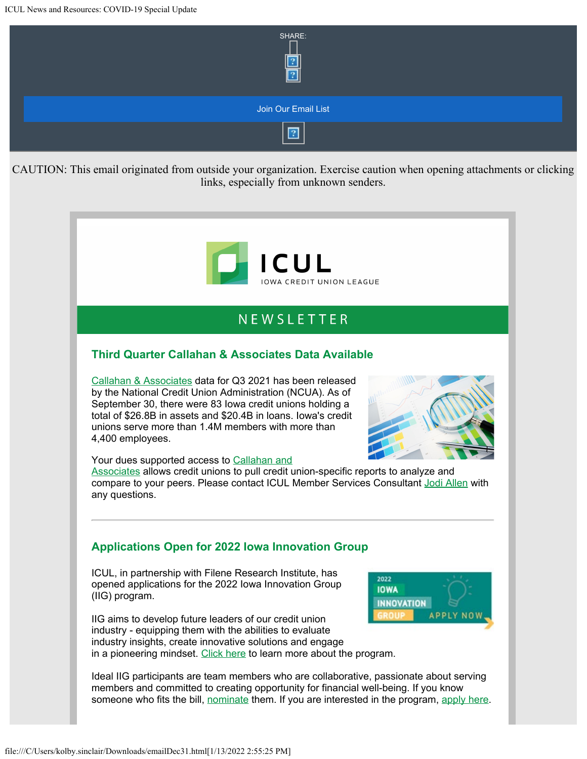

# **NFWSIFTTFR**

### **Third Quarter Callahan & Associates Data Available**

[Callahan & Associates](https://info.iowacreditunions.com/e/821233/2021-12-30/4dj3y/342996552?h=ploqgoidIpvg8I-7UCEuUpKn3chzkoruWm2Kc4lggeE) data for Q3 2021 has been released by the National Credit Union Administration (NCUA). As of September 30, there were 83 Iowa credit unions holding a total of \$26.8B in assets and \$20.4B in loans. Iowa's credit unions serve more than 1.4M members with more than 4,400 employees.



Your dues supported access to [Callahan and](https://info.iowacreditunions.com/e/821233/Ma12zuh-Qnew-nYPePi8Ki1Y-omg--/4dj41/342996552?h=ploqgoidIpvg8I-7UCEuUpKn3chzkoruWm2Kc4lggeE)

[Associates](https://info.iowacreditunions.com/e/821233/Ma12zuh-Qnew-nYPePi8Ki1Y-omg--/4dj41/342996552?h=ploqgoidIpvg8I-7UCEuUpKn3chzkoruWm2Kc4lggeE) allows credit unions to pull credit union-specific reports to analyze and compare to your peers. Please contact ICUL Member Services Consultant [Jodi Allen](mailto:jodi.allen@iowacreditunions.com) with any questions.

### **Applications Open for 2022 Iowa Innovation Group**

ICUL, in partnership with Filene Research Institute, has opened applications for the 2022 Iowa Innovation Group (IIG) program.

IIG aims to develop future leaders of our credit union industry - equipping them with the abilities to evaluate industry insights, create innovative solutions and engage in a pioneering mindset. [Click here](https://info.iowacreditunions.com/e/821233/0038325SQJVQahe-About-IIG--pdf/4dj45/342996552?h=ploqgoidIpvg8I-7UCEuUpKn3chzkoruWm2Kc4lggeE) to learn more about the program.



Ideal IIG participants are team members who are collaborative, passionate about serving members and committed to creating opportunity for financial well-being. If you know someone who fits the bill, [nominate](https://info.iowacreditunions.com/e/821233/forms-iig-2022-nomination/4dj47/342996552?h=ploqgoidIpvg8I-7UCEuUpKn3chzkoruWm2Kc4lggeE) them. If you are interested in the program, [apply here.](https://info.iowacreditunions.com/e/821233/forms-iig-app-2022/4dj49/342996552?h=ploqgoidIpvg8I-7UCEuUpKn3chzkoruWm2Kc4lggeE)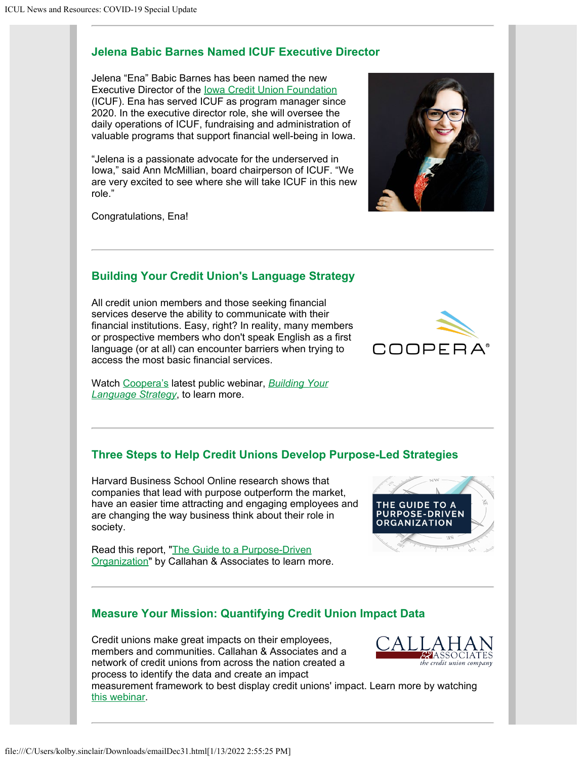### **Jelena Babic Barnes Named ICUF Executive Director**

Jelena "Ena" Babic Barnes has been named the new Executive Director of the [Iowa Credit Union Foundation](https://info.iowacreditunions.com/e/821233/2021-12-30/4dj4c/342996552?h=ploqgoidIpvg8I-7UCEuUpKn3chzkoruWm2Kc4lggeE) (ICUF). Ena has served ICUF as program manager since 2020. In the executive director role, she will oversee the daily operations of ICUF, fundraising and administration of valuable programs that support financial well-being in Iowa.

"Jelena is a passionate advocate for the underserved in Iowa," said Ann McMillian, board chairperson of ICUF. "We are very excited to see where she will take ICUF in this new role."

Congratulations, Ena!

# **Building Your Credit Union's Language Strategy**

All credit union members and those seeking financial services deserve the ability to communicate with their financial institutions. Easy, right? In reality, many members or prospective members who don't speak English as a first language (or at all) can encounter barriers when trying to access the most basic financial services.

Watch [Coopera's](https://info.iowacreditunions.com/e/821233/2021-12-30/4dj4f/342996552?h=ploqgoidIpvg8I-7UCEuUpKn3chzkoruWm2Kc4lggeE) latest public webinar, *[Building Your](https://info.iowacreditunions.com/e/821233/uilding-your-language-strategy/4dj4h/342996552?h=ploqgoidIpvg8I-7UCEuUpKn3chzkoruWm2Kc4lggeE) [Language Strategy](https://info.iowacreditunions.com/e/821233/uilding-your-language-strategy/4dj4h/342996552?h=ploqgoidIpvg8I-7UCEuUpKn3chzkoruWm2Kc4lggeE)*, to learn more.

# **Three Steps to Help Credit Unions Develop Purpose-Led Strategies**

Harvard Business School Online research shows that companies that lead with purpose outperform the market, have an easier time attracting and engaging employees and are changing the way business think about their role in society.

Read this report, "[The Guide to a Purpose-Driven](https://info.iowacreditunions.com/e/821233/YCPRFT-Purpose-Guide-FINAL-pdf/4dj4k/342996552?h=ploqgoidIpvg8I-7UCEuUpKn3chzkoruWm2Kc4lggeE) [Organization"](https://info.iowacreditunions.com/e/821233/YCPRFT-Purpose-Guide-FINAL-pdf/4dj4k/342996552?h=ploqgoidIpvg8I-7UCEuUpKn3chzkoruWm2Kc4lggeE) by Callahan & Associates to learn more.

# **Measure Your Mission: Quantifying Credit Union Impact Data**

Credit unions make great impacts on their employees, members and communities. Callahan & Associates and a network of credit unions from across the nation created a process to identify the data and create an impact

measurement framework to best display credit unions' impact. Learn more by watching [this webinar.](https://info.iowacreditunions.com/e/821233/1rwxK9cWbPemPi5gNl2b2fZvVeQ-oU/4dj4m/342996552?h=ploqgoidIpvg8I-7UCEuUpKn3chzkoruWm2Kc4lggeE)